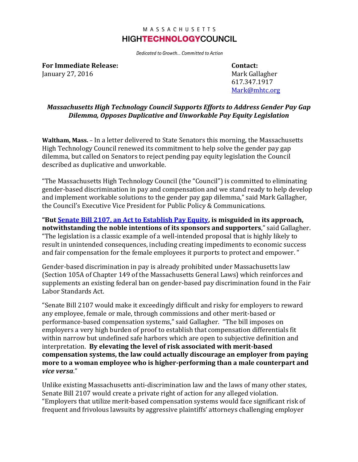## MASSACHUSETTS **HIGHTECHNOLOGYCOUNCIL**

Dedicated to Growth... Committed to Action

**For Immediate Release: Contact:** January 27, 2016 **Mark Gallagher** Mark Gallagher

617.347.1917 [Mark@mhtc.org](mailto:Mark@mhtc.org)

## *Massachusetts High Technology Council Supports Efforts to Address Gender Pay Gap Dilemma, Opposes Duplicative and Unworkable Pay Equity Legislation*

**Waltham, Mass.** – In a letter delivered to State Senators this morning, the Massachusetts High Technology Council renewed its commitment to help solve the gender pay gap dilemma, but called on Senators to reject pending pay equity legislation the Council described as duplicative and unworkable.

"The Massachusetts High Technology Council (the "Council") is committed to eliminating gender-based discrimination in pay and compensation and we stand ready to help develop and implement workable solutions to the gender pay gap dilemma," said Mark Gallagher, the Council's Executive Vice President for Public Policy & Communications.

**"But [Senate Bill 2107, an Act to Establish Pay Equity,](https://malegislature.gov/Bills/189/Senate/S983) is misguided in its approach, notwithstanding the noble intentions of its sponsors and supporters**," said Gallagher. "The legislation is a classic example of a well-intended proposal that is highly likely to result in unintended consequences, including creating impediments to economic success and fair compensation for the female employees it purports to protect and empower. "

Gender-based discrimination in pay is already prohibited under Massachusetts law (Section 105A of Chapter 149 of the Massachusetts General Laws) which reinforces and supplements an existing federal ban on gender-based pay discrimination found in the Fair Labor Standards Act.

"Senate Bill 2107 would make it exceedingly difficult and risky for employers to reward any employee, female or male, through commissions and other merit-based or performance-based compensation systems," said Gallagher. "The bill imposes on employers a very high burden of proof to establish that compensation differentials fit within narrow but undefined safe harbors which are open to subjective definition and interpretation. **By elevating the level of risk associated with merit-based compensation systems, the law could actually discourage an employer from paying more to a woman employee who is higher-performing than a male counterpart and**  *vice versa*."

Unlike existing Massachusetts anti-discrimination law and the laws of many other states, Senate Bill 2107 would create a private right of action for any alleged violation. "Employers that utilize merit-based compensation systems would face significant risk of frequent and frivolous lawsuits by aggressive plaintiffs' attorneys challenging employer